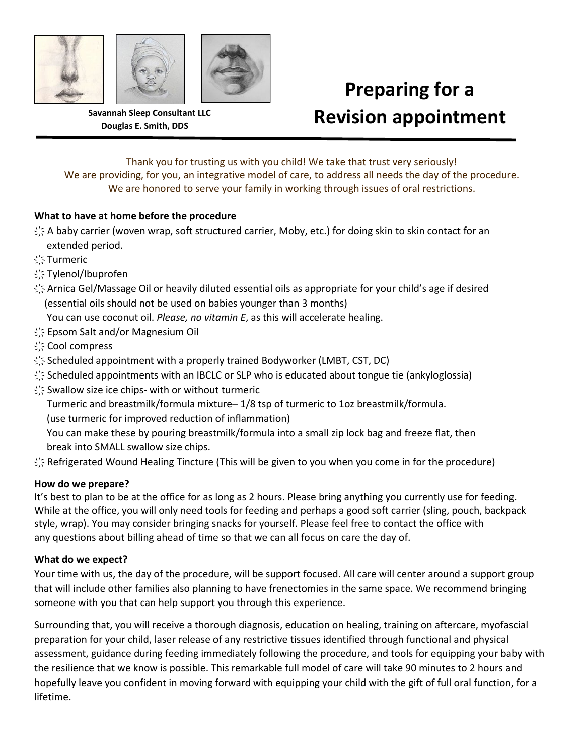





 **Savannah Sleep Consultant LLC Douglas E. Smith, DDS**

# **Preparing for a Revision appointment**

Thank you for trusting us with you child! We take that trust very seriously! We are providing, for you, an integrative model of care, to address all needs the day of the procedure. We are honored to serve your family in working through issues of oral restrictions.

# **What to have at home before the procedure**

- ҉ A baby carrier (woven wrap, soft structured carrier, Moby, etc.) for doing skin to skin contact for an extended period.
- ҉ Turmeric
- ҉ Tylenol/Ibuprofen
- $\frac{1}{2}$  Arnica Gel/Massage Oil or heavily diluted essential oils as appropriate for your child's age if desired (essential oils should not be used on babies younger than 3 months)

You can use coconut oil. *Please, no vitamin E*, as this will accelerate healing.

- $\frac{1}{2}$  Epsom Salt and/or Magnesium Oil
- ҉ Cool compress
- $\frac{1}{2}$  Scheduled appointment with a properly trained Bodyworker (LMBT, CST, DC)
- $\lesssim$  Scheduled appointments with an IBCLC or SLP who is educated about tongue tie (ankyloglossia)
- $\frac{1}{2}$ . Swallow size ice chips- with or without turmeric
	- Turmeric and breastmilk/formula mixture– 1/8 tsp of turmeric to 1oz breastmilk/formula. (use turmeric for improved reduction of inflammation)
	- You can make these by pouring breastmilk/formula into a small zip lock bag and freeze flat, then break into SMALL swallow size chips.
- $\zeta$  Refrigerated Wound Healing Tincture (This will be given to you when you come in for the procedure)

# **How do we prepare?**

It's best to plan to be at the office for as long as 2 hours. Please bring anything you currently use for feeding. While at the office, you will only need tools for feeding and perhaps a good soft carrier (sling, pouch, backpack style, wrap). You may consider bringing snacks for yourself. Please feel free to contact the office with any questions about billing ahead of time so that we can all focus on care the day of.

# **What do we expect?**

Your time with us, the day of the procedure, will be support focused. All care will center around a support group that will include other families also planning to have frenectomies in the same space. We recommend bringing someone with you that can help support you through this experience.

Surrounding that, you will receive a thorough diagnosis, education on healing, training on aftercare, myofascial preparation for your child, laser release of any restrictive tissues identified through functional and physical assessment, guidance during feeding immediately following the procedure, and tools for equipping your baby with the resilience that we know is possible. This remarkable full model of care will take 90 minutes to 2 hours and hopefully leave you confident in moving forward with equipping your child with the gift of full oral function, for a lifetime.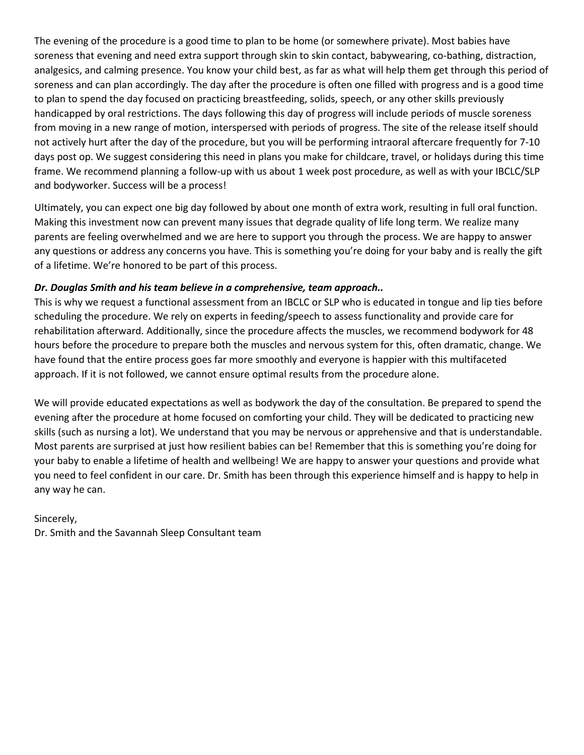The evening of the procedure is a good time to plan to be home (or somewhere private). Most babies have soreness that evening and need extra support through skin to skin contact, babywearing, co-bathing, distraction, analgesics, and calming presence. You know your child best, as far as what will help them get through this period of soreness and can plan accordingly. The day after the procedure is often one filled with progress and is a good time to plan to spend the day focused on practicing breastfeeding, solids, speech, or any other skills previously handicapped by oral restrictions. The days following this day of progress will include periods of muscle soreness from moving in a new range of motion, interspersed with periods of progress. The site of the release itself should not actively hurt after the day of the procedure, but you will be performing intraoral aftercare frequently for 7-10 days post op. We suggest considering this need in plans you make for childcare, travel, or holidays during this time frame. We recommend planning a follow-up with us about 1 week post procedure, as well as with your IBCLC/SLP and bodyworker. Success will be a process!

Ultimately, you can expect one big day followed by about one month of extra work, resulting in full oral function. Making this investment now can prevent many issues that degrade quality of life long term. We realize many parents are feeling overwhelmed and we are here to support you through the process. We are happy to answer any questions or address any concerns you have. This is something you're doing for your baby and is really the gift of a lifetime. We're honored to be part of this process.

#### *Dr. Douglas Smith and his team believe in a comprehensive, team approach..*

This is why we request a functional assessment from an IBCLC or SLP who is educated in tongue and lip ties before scheduling the procedure. We rely on experts in feeding/speech to assess functionality and provide care for rehabilitation afterward. Additionally, since the procedure affects the muscles, we recommend bodywork for 48 hours before the procedure to prepare both the muscles and nervous system for this, often dramatic, change. We have found that the entire process goes far more smoothly and everyone is happier with this multifaceted approach. If it is not followed, we cannot ensure optimal results from the procedure alone.

We will provide educated expectations as well as bodywork the day of the consultation. Be prepared to spend the evening after the procedure at home focused on comforting your child. They will be dedicated to practicing new skills (such as nursing a lot). We understand that you may be nervous or apprehensive and that is understandable. Most parents are surprised at just how resilient babies can be! Remember that this is something you're doing for your baby to enable a lifetime of health and wellbeing! We are happy to answer your questions and provide what you need to feel confident in our care. Dr. Smith has been through this experience himself and is happy to help in any way he can.

# Sincerely,

Dr. Smith and the Savannah Sleep Consultant team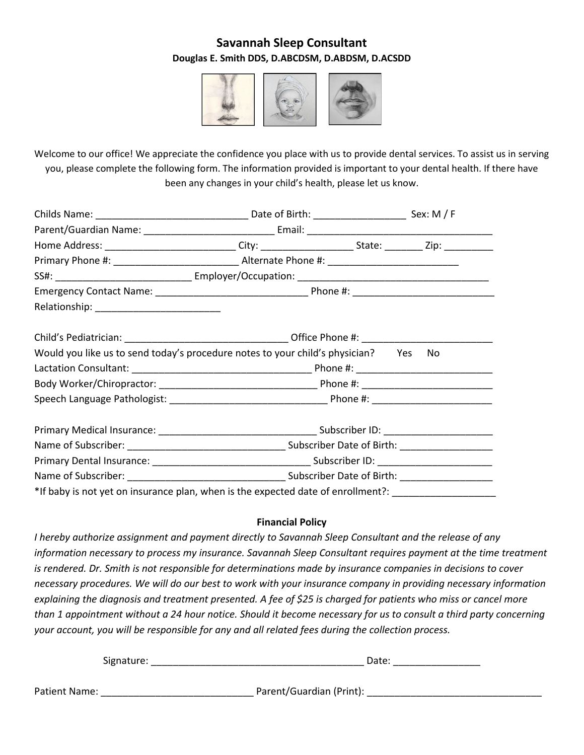# **Savannah Sleep Consultant Douglas E. Smith DDS, D.ABCDSM, D.ABDSM, D.ACSDD**



Welcome to our office! We appreciate the confidence you place with us to provide dental services. To assist us in serving you, please complete the following form. The information provided is important to your dental health. If there have been any changes in your child's health, please let us know.

| Home Address: ____________________________City: ______________________State: ___________Zip: ____________ |  |  |  |
|-----------------------------------------------------------------------------------------------------------|--|--|--|
|                                                                                                           |  |  |  |
|                                                                                                           |  |  |  |
|                                                                                                           |  |  |  |
|                                                                                                           |  |  |  |
|                                                                                                           |  |  |  |
| Would you like us to send today's procedure notes to your child's physician? Yes No                       |  |  |  |
|                                                                                                           |  |  |  |
|                                                                                                           |  |  |  |
|                                                                                                           |  |  |  |
|                                                                                                           |  |  |  |
|                                                                                                           |  |  |  |
|                                                                                                           |  |  |  |
|                                                                                                           |  |  |  |
| *If baby is not yet on insurance plan, when is the expected date of enrollment?: ___________________      |  |  |  |

#### **Financial Policy**

*I hereby authorize assignment and payment directly to Savannah Sleep Consultant and the release of any information necessary to process my insurance. Savannah Sleep Consultant requires payment at the time treatment is rendered. Dr. Smith is not responsible for determinations made by insurance companies in decisions to cover necessary procedures. We will do our best to work with your insurance company in providing necessary information explaining the diagnosis and treatment presented. A fee of \$25 is charged for patients who miss or cancel more than 1 appointment without a 24 hour notice. Should it become necessary for us to consult a third party concerning your account, you will be responsible for any and all related fees during the collection process.* 

Signature: \_\_\_\_\_\_\_\_\_\_\_\_\_\_\_\_\_\_\_\_\_\_\_\_\_\_\_\_\_\_\_\_\_\_\_\_\_\_\_ Date: \_\_\_\_\_\_\_\_\_\_\_\_\_\_\_\_

Patient Name: \_\_\_\_\_\_\_\_\_\_\_\_\_\_\_\_\_\_\_\_\_\_\_\_\_\_\_\_ Parent/Guardian (Print): \_\_\_\_\_\_\_\_\_\_\_\_\_\_\_\_\_\_\_\_\_\_\_\_\_\_\_\_\_\_\_\_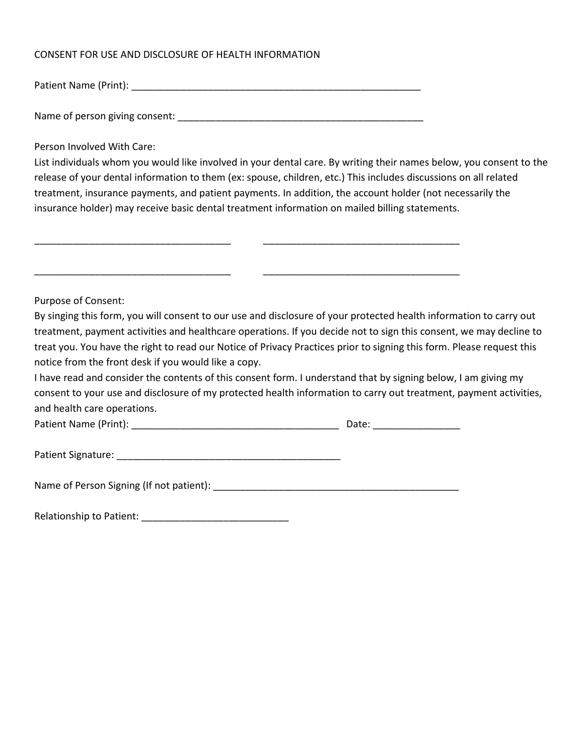#### CONSENT FOR USE AND DISCLOSURE OF HEALTH INFORMATION

Patient Name (Print): \_\_\_\_\_\_\_\_\_\_\_\_\_\_\_\_\_\_\_\_\_\_\_\_\_\_\_\_\_\_\_\_\_\_\_\_\_\_\_\_\_\_\_\_\_\_\_\_\_\_\_\_\_

Name of person giving consent: \_\_\_\_\_\_\_\_\_\_\_\_\_\_\_\_\_\_\_\_\_\_\_\_\_\_\_\_\_\_\_\_\_\_\_\_\_\_\_\_\_\_\_\_\_

Person Involved With Care:

List individuals whom you would like involved in your dental care. By writing their names below, you consent to the release of your dental information to them (ex: spouse, children, etc.) This includes discussions on all related treatment, insurance payments, and patient payments. In addition, the account holder (not necessarily the insurance holder) may receive basic dental treatment information on mailed billing statements.

| Purpose of Consent:                                                                                                   |                               |
|-----------------------------------------------------------------------------------------------------------------------|-------------------------------|
| By singing this form, you will consent to our use and disclosure of your protected health information to carry out    |                               |
| treatment, payment activities and healthcare operations. If you decide not to sign this consent, we may decline to    |                               |
| treat you. You have the right to read our Notice of Privacy Practices prior to signing this form. Please request this |                               |
| notice from the front desk if you would like a copy.                                                                  |                               |
| I have read and consider the contents of this consent form. I understand that by signing below, I am giving my        |                               |
| consent to your use and disclosure of my protected health information to carry out treatment, payment activities,     |                               |
| and health care operations.                                                                                           |                               |
|                                                                                                                       | Date: _______________________ |
|                                                                                                                       |                               |
|                                                                                                                       |                               |
|                                                                                                                       |                               |

Relationship to Patient: \_\_\_\_\_\_\_\_\_\_\_\_\_\_\_\_\_\_\_\_\_\_\_\_\_\_\_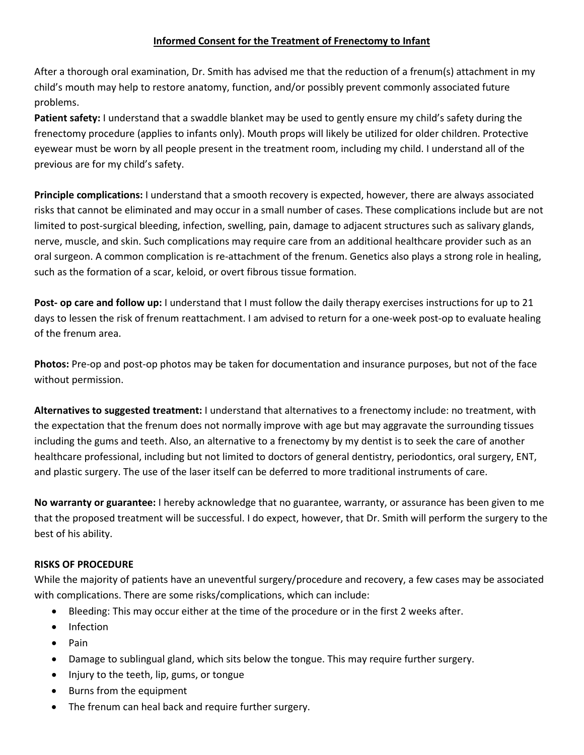#### **Informed Consent for the Treatment of Frenectomy to Infant**

After a thorough oral examination, Dr. Smith has advised me that the reduction of a frenum(s) attachment in my child's mouth may help to restore anatomy, function, and/or possibly prevent commonly associated future problems.

**Patient safety:** I understand that a swaddle blanket may be used to gently ensure my child's safety during the frenectomy procedure (applies to infants only). Mouth props will likely be utilized for older children. Protective eyewear must be worn by all people present in the treatment room, including my child. I understand all of the previous are for my child's safety.

**Principle complications:** I understand that a smooth recovery is expected, however, there are always associated risks that cannot be eliminated and may occur in a small number of cases. These complications include but are not limited to post-surgical bleeding, infection, swelling, pain, damage to adjacent structures such as salivary glands, nerve, muscle, and skin. Such complications may require care from an additional healthcare provider such as an oral surgeon. A common complication is re-attachment of the frenum. Genetics also plays a strong role in healing, such as the formation of a scar, keloid, or overt fibrous tissue formation.

**Post- op care and follow up:** I understand that I must follow the daily therapy exercises instructions for up to 21 days to lessen the risk of frenum reattachment. I am advised to return for a one-week post-op to evaluate healing of the frenum area.

**Photos:** Pre-op and post-op photos may be taken for documentation and insurance purposes, but not of the face without permission.

**Alternatives to suggested treatment:** I understand that alternatives to a frenectomy include: no treatment, with the expectation that the frenum does not normally improve with age but may aggravate the surrounding tissues including the gums and teeth. Also, an alternative to a frenectomy by my dentist is to seek the care of another healthcare professional, including but not limited to doctors of general dentistry, periodontics, oral surgery, ENT, and plastic surgery. The use of the laser itself can be deferred to more traditional instruments of care.

**No warranty or guarantee:** I hereby acknowledge that no guarantee, warranty, or assurance has been given to me that the proposed treatment will be successful. I do expect, however, that Dr. Smith will perform the surgery to the best of his ability.

# **RISKS OF PROCEDURE**

While the majority of patients have an uneventful surgery/procedure and recovery, a few cases may be associated with complications. There are some risks/complications, which can include:

- Bleeding: This may occur either at the time of the procedure or in the first 2 weeks after.
- Infection
- Pain
- Damage to sublingual gland, which sits below the tongue. This may require further surgery.
- Injury to the teeth, lip, gums, or tongue
- Burns from the equipment
- The frenum can heal back and require further surgery.